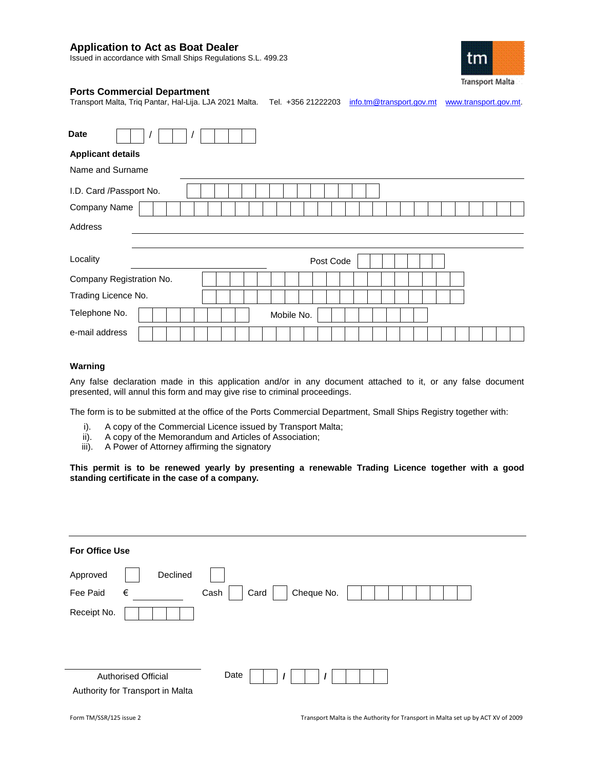# **Application to Act as Boat Dealer**

Issued in accordance with Small Ships Regulations S.L. 499.23



## **Ports Commercial Department**

Transport Malta, Triq Pantar, Hal-Lija. LJA 2021 Malta. Tel. +356 21222203 [info.tm@transport.gov.mt](mailto:info.tm@transport.gov.mt) [www.transport.gov.mt.](http://www.transport.gov.mt/)

Date **Applicant details** Name and Surname I.D. Card /Passport No. Company Name Address Locality **Contract Contract Contract Contract Contract Contract Contract Contract Contract Contract Contract Contract Contract Contract Contract Contract Contract Contract Contract Contract Contract Contract Contract Contr** Company Registration No. Trading Licence No. Telephone No. | | | | | | | | | Mobile No. e-mail address

## **Warning**

Any false declaration made in this application and/or in any document attached to it, or any false document presented, will annul this form and may give rise to criminal proceedings.

The form is to be submitted at the office of the Ports Commercial Department, Small Ships Registry together with:

- i). A copy of the Commercial Licence issued by Transport Malta;
- ii). A copy of the Memorandum and Articles of Association;
- iii). A Power of Attorney affirming the signatory

**This permit is to be renewed yearly by presenting a renewable Trading Licence together with a good standing certificate in the case of a company.**

| For Office Use                                                         |  |
|------------------------------------------------------------------------|--|
| Declined<br>Approved                                                   |  |
| Cheque No.<br>$\in$<br>Card<br>Fee Paid<br>Cash                        |  |
| Receipt No.                                                            |  |
| Date<br><b>Authorised Official</b><br>Authority for Transport in Malta |  |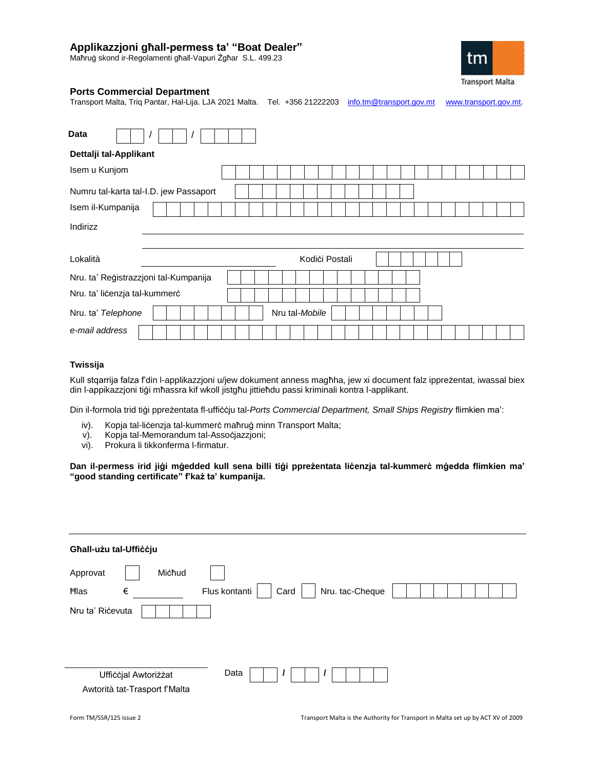# **Applikazzjoni għall-permess ta' "Boat Dealer"**

Maħruġ skond ir-Regolamenti għall-Vapuri Żgħar S.L. 499.23



# **Ports Commercial Department**

Transport Malta, Triq Pantar, Hal-Lija. LJA 2021 Malta. Tel. +356 21222203 [info.tm@transport.gov.mt](mailto:info.tm@transport.gov.mt) [www.transport.gov.mt.](http://www.transport.gov.mt/)

| <b>Data</b>                            |  |                |                |  |  |  |  |  |  |  |  |
|----------------------------------------|--|----------------|----------------|--|--|--|--|--|--|--|--|
| Dettalji tal-Applikant                 |  |                |                |  |  |  |  |  |  |  |  |
| Isem u Kunjom                          |  |                |                |  |  |  |  |  |  |  |  |
| Numru tal-karta tal-I.D. jew Passaport |  |                |                |  |  |  |  |  |  |  |  |
| Isem il-Kumpanija                      |  |                |                |  |  |  |  |  |  |  |  |
| Indirizz                               |  |                |                |  |  |  |  |  |  |  |  |
|                                        |  |                |                |  |  |  |  |  |  |  |  |
| Lokalità                               |  |                | Kodići Postali |  |  |  |  |  |  |  |  |
| Nru. ta' Reģistrazzjoni tal-Kumpanija  |  |                |                |  |  |  |  |  |  |  |  |
| Nru. ta' licenzja tal-kummerc          |  |                |                |  |  |  |  |  |  |  |  |
| Nru. ta' Telephone                     |  | Nru tal-Mobile |                |  |  |  |  |  |  |  |  |
| e-mail address                         |  |                |                |  |  |  |  |  |  |  |  |

## **Twissija**

Kull stqarrija falza f'din l-applikazzjoni u/jew dokument anness magħha, jew xi document falz ippreżentat, iwassal biex din l-appikazzjoni tiġi mħassra kif wkoll jistgħu jittieħdu passi kriminali kontra l-applikant.

Din il-formola trid tiġi ppreżentata fl-uffiċċju tal-*Ports Commercial Department, Small Ships Registry* flimkien ma':

- iv). Kopja tal-liċenzja tal-kummerċ maħruġ minn Transport Malta;
- v). Kopja tal-Memorandum tal-Assoċjazzjoni;
- vi). Prokura li tikkonferma l-firmatur.

**Dan il-permess irid jiġi mġedded kull sena billi tiġi ppreżentata liċenzja tal-kummerċ mġedda flimkien ma' "good standing certificate" f'każ ta' kumpanija.**

| Għall-użu tal-Ufficcju                                                                 |
|----------------------------------------------------------------------------------------|
| Michud<br>Approvat<br>Nru. tac-Cheque<br>$\in$<br>Flus kontanti<br>Card<br><b>Hlas</b> |
| Nru ta' Ricevuta                                                                       |
| Data<br>Ufficcjal Awtoriżżat<br>Awtorità tat-Trasport f'Malta                          |